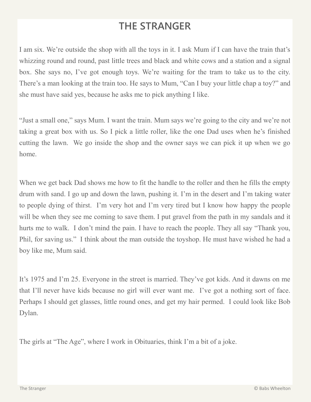## **THE STRANGER**

I am six. We're outside the shop with all the toys in it. I ask Mum if I can have the train that's whizzing round and round, past little trees and black and white cows and a station and a signal box. She says no, I've got enough toys. We're waiting for the tram to take us to the city. There's a man looking at the train too. He says to Mum, "Can I buy your little chap a toy?" and she must have said yes, because he asks me to pick anything I like.

"Just a small one," says Mum. I want the train. Mum says we're going to the city and we're not taking a great box with us. So I pick a little roller, like the one Dad uses when he's finished cutting the lawn. We go inside the shop and the owner says we can pick it up when we go home.

When we get back Dad shows me how to fit the handle to the roller and then he fills the empty drum with sand. I go up and down the lawn, pushing it. I'm in the desert and I'm taking water to people dying of thirst. I'm very hot and I'm very tired but I know how happy the people will be when they see me coming to save them. I put gravel from the path in my sandals and it hurts me to walk. I don't mind the pain. I have to reach the people. They all say "Thank you, Phil, for saving us." I think about the man outside the toyshop. He must have wished he had a boy like me, Mum said.

It's 1975 and I'm 25. Everyone in the street is married. They've got kids. And it dawns on me that I'll never have kids because no girl will ever want me. I've got a nothing sort of face. Perhaps I should get glasses, little round ones, and get my hair permed. I could look like Bob Dylan.

The girls at "The Age", where I work in Obituaries, think I'm a bit of a joke.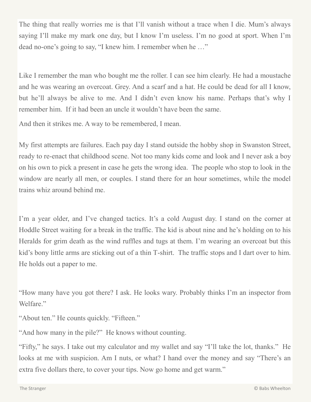The thing that really worries me is that I'll vanish without a trace when I die. Mum's always saying I'll make my mark one day, but I know I'm useless. I'm no good at sport. When I'm dead no-one's going to say, "I knew him. I remember when he …"

Like I remember the man who bought me the roller. I can see him clearly. He had a moustache and he was wearing an overcoat. Grey. And a scarf and a hat. He could be dead for all I know, but he'll always be alive to me. And I didn't even know his name. Perhaps that's why I remember him. If it had been an uncle it wouldn't have been the same.

And then it strikes me. A way to be remembered, I mean.

My first attempts are failures. Each pay day I stand outside the hobby shop in Swanston Street, ready to re-enact that childhood scene. Not too many kids come and look and I never ask a boy on his own to pick a present in case he gets the wrong idea. The people who stop to look in the window are nearly all men, or couples. I stand there for an hour sometimes, while the model trains whiz around behind me.

I'm a year older, and I've changed tactics. It's a cold August day. I stand on the corner at Hoddle Street waiting for a break in the traffic. The kid is about nine and he's holding on to his Heralds for grim death as the wind ruffles and tugs at them. I'm wearing an overcoat but this kid's bony little arms are sticking out of a thin T-shirt. The traffic stops and I dart over to him. He holds out a paper to me.

"How many have you got there? I ask. He looks wary. Probably thinks I'm an inspector from Welfare."

"About ten." He counts quickly. "Fifteen."

"And how many in the pile?" He knows without counting.

"Fifty," he says. I take out my calculator and my wallet and say "I'll take the lot, thanks." He looks at me with suspicion. Am I nuts, or what? I hand over the money and say "There's an extra five dollars there, to cover your tips. Now go home and get warm."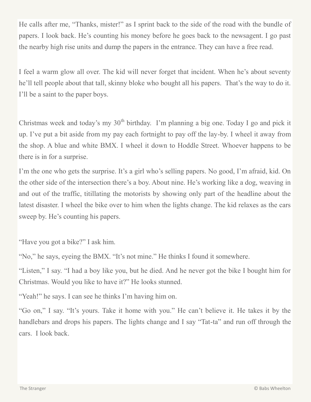He calls after me, "Thanks, mister!" as I sprint back to the side of the road with the bundle of papers. I look back. He's counting his money before he goes back to the newsagent. I go past the nearby high rise units and dump the papers in the entrance. They can have a free read.

I feel a warm glow all over. The kid will never forget that incident. When he's about seventy he'll tell people about that tall, skinny bloke who bought all his papers. That's the way to do it. I'll be a saint to the paper boys.

Christmas week and today's my  $30<sup>th</sup>$  birthday. I'm planning a big one. Today I go and pick it up. I've put a bit aside from my pay each fortnight to pay off the lay-by. I wheel it away from the shop. A blue and white BMX. I wheel it down to Hoddle Street. Whoever happens to be there is in for a surprise.

I'm the one who gets the surprise. It's a girl who's selling papers. No good, I'm afraid, kid. On the other side of the intersection there's a boy. About nine. He's working like a dog, weaving in and out of the traffic, titillating the motorists by showing only part of the headline about the latest disaster. I wheel the bike over to him when the lights change. The kid relaxes as the cars sweep by. He's counting his papers.

"Have you got a bike?" I ask him.

"No," he says, eyeing the BMX. "It's not mine." He thinks I found it somewhere.

"Listen," I say. "I had a boy like you, but he died. And he never got the bike I bought him for Christmas. Would you like to have it?" He looks stunned.

"Yeah!" he says. I can see he thinks I'm having him on.

"Go on," I say. "It's yours. Take it home with you." He can't believe it. He takes it by the handlebars and drops his papers. The lights change and I say "Tat-ta" and run off through the cars. I look back.